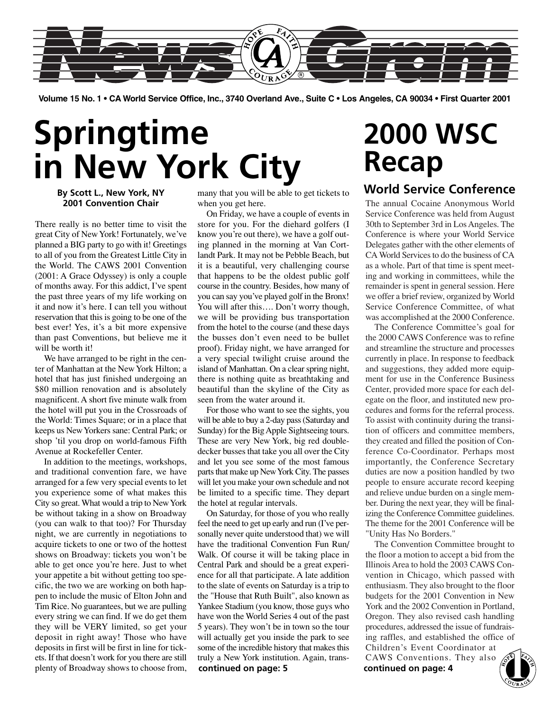

**Volume 15 No. 1 • CA World Service Office, Inc., 3740 Overland Ave., Suite C • Los Angeles, CA 90034 • First Quarter 2001**

## **Springtime in New York City**

### **By Scott L., New York, NY 2001 Convention Chair**

There really is no better time to visit the great City of New York! Fortunately, we've planned a BIG party to go with it! Greetings to all of you from the Greatest Little City in the World. The CAWS 2001 Convention (2001: A Grace Odyssey) is only a couple of months away. For this addict, I've spent the past three years of my life working on it and now it's here. I can tell you without reservation that this is going to be one of the best ever! Yes, it's a bit more expensive than past Conventions, but believe me it will be worth it!

We have arranged to be right in the center of Manhattan at the New York Hilton; a hotel that has just finished undergoing an \$80 million renovation and is absolutely magnificent. A short five minute walk from the hotel will put you in the Crossroads of the World: Times Square; or in a place that keeps us New Yorkers sane: Central Park; or shop 'til you drop on world-famous Fifth Avenue at Rockefeller Center.

In addition to the meetings, workshops, and traditional convention fare, we have arranged for a few very special events to let you experience some of what makes this City so great. What would a trip to New York be without taking in a show on Broadway (you can walk to that too)? For Thursday night, we are currently in negotiations to acquire tickets to one or two of the hottest shows on Broadway: tickets you won't be able to get once you're here. Just to whet your appetite a bit without getting too specific, the two we are working on both happen to include the music of Elton John and Tim Rice. No guarantees, but we are pulling every string we can find. If we do get them they will be VERY limited, so get your deposit in right away! Those who have deposits in first will be first in line for tickets. If that doesn't work for you there are still plenty of Broadway shows to choose from,

many that you will be able to get tickets to when you get here.

On Friday, we have a couple of events in store for you. For the diehard golfers (I know you're out there), we have a golf outing planned in the morning at Van Cortlandt Park. It may not be Pebble Beach, but it is a beautiful, very challenging course that happens to be the oldest public golf course in the country. Besides, how many of you can say you've played golf in the Bronx! You will after this…. Don't worry though, we will be providing bus transportation from the hotel to the course (and these days the busses don't even need to be bullet proof). Friday night, we have arranged for a very special twilight cruise around the island of Manhattan. On a clear spring night, there is nothing quite as breathtaking and beautiful than the skyline of the City as seen from the water around it.

For those who want to see the sights, you will be able to buy a 2-day pass (Saturday and Sunday) for the Big Apple Sightseeing tours. These are very New York, big red doubledecker busses that take you all over the City and let you see some of the most famous parts that make up New York City. The passes will let you make your own schedule and not be limited to a specific time. They depart the hotel at regular intervals.

On Saturday, for those of you who really feel the need to get up early and run (I've personally never quite understood that) we will have the traditional Convention Fun Run/ Walk. Of course it will be taking place in Central Park and should be a great experience for all that participate. A late addition to the slate of events on Saturday is a trip to the "House that Ruth Built", also known as Yankee Stadium (you know, those guys who have won the World Series 4 out of the past 5 years). They won't be in town so the tour will actually get you inside the park to see some of the incredible history that makes this truly a New York institution. Again, trans**continued on page: 5 continued on page: 4**

## **2000 WSC Recap**

### **World Service Conference**

The annual Cocaine Anonymous World Service Conference was held from August 30th to September 3rd in Los Angeles. The Conference is where your World Service Delegates gather with the other elements of CA World Services to do the business of CA as a whole. Part of that time is spent meeting and working in committees, while the remainder is spent in general session. Here we offer a brief review, organized by World Service Conference Committee, of what was accomplished at the 2000 Conference.

The Conference Committee's goal for the 2000 CAWS Conference was to refine and streamline the structure and processes currently in place. In response to feedback and suggestions, they added more equipment for use in the Conference Business Center, provided more space for each delegate on the floor, and instituted new procedures and forms for the referral process. To assist with continuity during the transition of officers and committee members, they created and filled the position of Conference Co-Coordinator. Perhaps most importantly, the Conference Secretary duties are now a position handled by two people to ensure accurate record keeping and relieve undue burden on a single member. During the next year, they will be finalizing the Conference Committee guidelines. The theme for the 2001 Conference will be "Unity Has No Borders."

The Convention Committee brought to the floor a motion to accept a bid from the Illinois Area to hold the 2003 CAWS Convention in Chicago, which passed with enthusiasm. They also brought to the floor budgets for the 2001 Convention in New York and the 2002 Convention in Portland, Oregon. They also revised cash handling procedures, addressed the issue of fundraising raffles, and established the office of Children's Event Coordinator at CAWS Conventions. They also

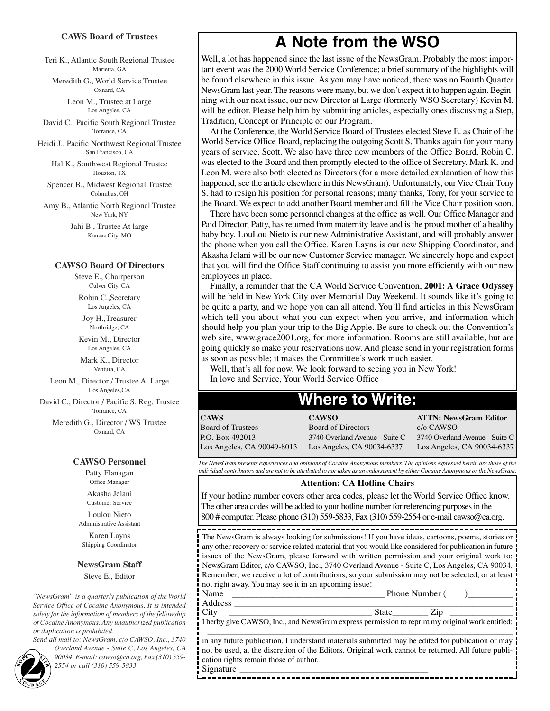### **CAWS Board of Trustees**

Teri K., Atlantic South Regional Trustee Marietta, GA

Meredith G., World Service Trustee Oxnard, CA

> Leon M., Trustee at Large Los Angeles, CA

David C., Pacific South Regional Trustee Torrance, CA

Heidi J., Pacific Northwest Regional Trustee San Francisco, CA

> Hal K., Southwest Regional Trustee Houston, TX

Spencer B., Midwest Regional Trustee Columbus, OH

Amy B., Atlantic North Regional Trustee New York, NY

> Jahi B., Trustee At large Kansas City, MO

#### **CAWSO Board Of Directors**

Steve E., Chairperson Culver City, CA

Robin C.,Secretary Los Angeles, CA

Joy H.,Treasurer Northridge, CA

Kevin M., Director Los Angeles, CA

Mark K., Director Ventura, CA

Leon M., Director / Trustee At Large Los Angeles,CA

David C., Director / Pacific S. Reg. Trustee Torrance, CA

Meredith G., Director / WS Trustee Oxnard, CA

#### **CAWSO Personnel**

Patty Flanagan Office Manager Akasha Jelani

Customer Service

Loulou Nieto Administrative Assistant

Karen Layns Shipping Coordinator

#### **NewsGram Staff**

Steve E., Editor

*"NewsGram" is a quarterly publication of the World Service Office of Cocaine Anonymous. It is intended solely for the information of members of the fellowship of Cocaine Anonymous. Any unauthorized publication or duplication is prohibited.*

*Send all mail to: NewsGram, c/o CAWSO, Inc., 3740 Overland Avenue - Suite C, Los Angeles, CA 90034, E-mail: cawso@ca.org, Fax (310) 559-*

### **A Note from the WSO**

Well, a lot has happened since the last issue of the NewsGram. Probably the most important event was the 2000 World Service Conference; a brief summary of the highlights will be found elsewhere in this issue. As you may have noticed, there was no Fourth Quarter NewsGram last year. The reasons were many, but we don't expect it to happen again. Beginning with our next issue, our new Director at Large (formerly WSO Secretary) Kevin M. will be editor. Please help him by submitting articles, especially ones discussing a Step, Tradition, Concept or Principle of our Program.

At the Conference, the World Service Board of Trustees elected Steve E. as Chair of the World Service Office Board, replacing the outgoing Scott S. Thanks again for your many years of service, Scott. We also have three new members of the Office Board. Robin C. was elected to the Board and then promptly elected to the office of Secretary. Mark K. and Leon M. were also both elected as Directors (for a more detailed explanation of how this happened, see the article elsewhere in this NewsGram). Unfortunately, our Vice Chair Tony S. had to resign his position for personal reasons; many thanks, Tony, for your service to the Board. We expect to add another Board member and fill the Vice Chair position soon.

There have been some personnel changes at the office as well. Our Office Manager and Paid Director, Patty, has returned from maternity leave and is the proud mother of a healthy baby boy. LouLou Nieto is our new Administrative Assistant, and will probably answer the phone when you call the Office. Karen Layns is our new Shipping Coordinator, and Akasha Jelani will be our new Customer Service manager. We sincerely hope and expect that you will find the Office Staff continuing to assist you more efficiently with our new employees in place.

Finally, a reminder that the CA World Service Convention, **2001: A Grace Odyssey** will be held in New York City over Memorial Day Weekend. It sounds like it's going to be quite a party, and we hope you can all attend. You'll find articles in this NewsGram which tell you about what you can expect when you arrive, and information which should help you plan your trip to the Big Apple. Be sure to check out the Convention's web site, www.grace2001.org, for more information. Rooms are still available, but are going quickly so make your reservations now. And please send in your registration forms as soon as possible; it makes the Committee's work much easier.

Well, that's all for now. We look forward to seeing you in New York! In love and Service, Your World Service Office

### **Where to Write:**

| <b>CAWS</b>                | <b>CAWSO</b>                   | <b>ATTN: NewsGram Editor</b>   |
|----------------------------|--------------------------------|--------------------------------|
| <b>Board of Trustees</b>   | Board of Directors             | c/o CAWSO                      |
| P.O. Box 492013            | 3740 Overland Avenue - Suite C | 3740 Overland Avenue - Suite C |
| Los Angeles, CA 90049-8013 | Los Angeles, CA 90034-6337     | Los Angeles, CA 90034-6337     |

*The NewsGram presents experiences and opinions of Cocaine Anonymous members. The opinions expressed herein are those of the individual contributors and are not to be attributed to nor taken as an endorsement by either Cocaine Anonymous or the NewsGram.*

#### **Attention: CA Hotline Chairs**

If your hotline number covers other area codes, please let the World Service Office know. The other area codes will be added to your hotline number for referencing purposes in the 800 # computer. Please phone (310) 559-5833, Fax (310) 559-2554 or e-mail cawso@ca.org.

The NewsGram is always looking for submissions! If you have ideas, cartoons, poems, stories or any other recovery or service related material that you would like considered for publication in future issues of the NewsGram, please forward with written permission and your original work to: NewsGram Editor, c/o CAWSO, Inc., 3740 Overland Avenue - Suite C, Los Angeles, CA 90034. Remember, we receive a lot of contributions, so your submission may not be selected, or at least not right away. You may see it in an upcoming issue!

Name \_\_\_\_\_\_\_\_\_\_\_\_\_\_\_\_\_\_\_\_\_\_\_\_\_\_\_\_\_\_\_\_\_\_ Phone Number ( )\_\_\_\_\_\_\_\_\_\_ Address \_\_\_\_\_\_\_\_\_\_\_\_\_\_\_\_\_\_\_\_\_\_\_\_\_\_\_\_\_\_\_\_\_\_\_\_\_\_\_\_\_\_\_\_\_\_\_\_\_\_\_\_\_\_\_\_\_\_\_\_\_\_

City \_\_\_\_\_\_\_\_\_\_\_\_\_\_\_\_\_\_\_\_\_\_\_\_\_\_\_\_\_\_\_\_ State\_\_\_\_\_\_\_\_ Zip \_\_\_\_\_\_\_\_\_\_\_\_\_\_ I herby give CAWSO, Inc., and NewsGram express permission to reprint my original work entitled: \_\_\_\_\_\_\_\_\_\_\_\_\_\_\_\_\_\_\_\_\_\_\_\_\_\_\_\_\_\_\_\_\_\_\_\_\_\_\_\_\_\_\_\_\_\_\_\_\_\_\_\_\_\_\_\_\_\_\_\_\_\_\_\_\_\_\_\_

in any future publication. I understand materials submitted may be edited for publication or may not be used, at the discretion of the Editors. Original work cannot be returned. All future publication rights remain those of author. Signature

-----------------------------------



*2554 or call (310) 559-5833.* **2**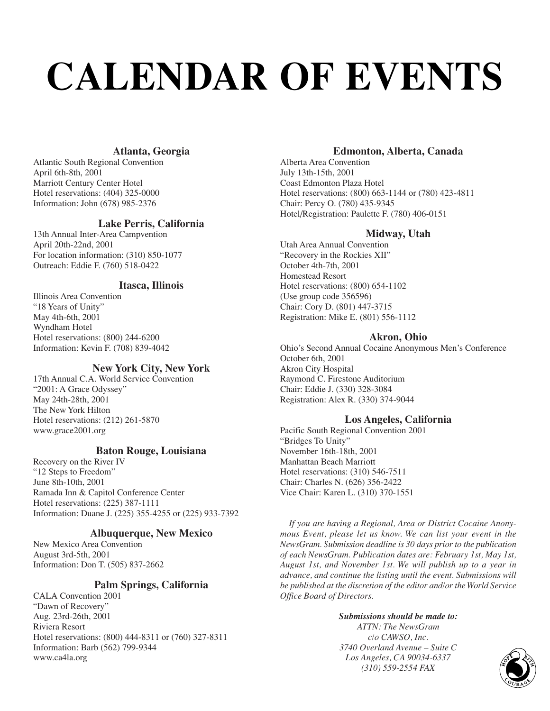# **CALENDAR OF EVENTS**

### **Atlanta, Georgia**

Atlantic South Regional Convention April 6th-8th, 2001 Marriott Century Center Hotel Hotel reservations: (404) 325-0000 Information: John (678) 985-2376

### **Lake Perris, California**

13th Annual Inter-Area Campvention April 20th-22nd, 2001 For location information: (310) 850-1077 Outreach: Eddie F. (760) 518-0422

### **Itasca, Illinois**

Illinois Area Convention "18 Years of Unity" May 4th-6th, 2001 Wyndham Hotel Hotel reservations: (800) 244-6200 Information: Kevin F. (708) 839-4042

### **New York City, New York**

17th Annual C.A. World Service Convention "2001: A Grace Odyssey" May 24th-28th, 2001 The New York Hilton Hotel reservations: (212) 261-5870 www.grace2001.org

### **Baton Rouge, Louisiana**

Recovery on the River IV "12 Steps to Freedom" June 8th-10th, 2001 Ramada Inn & Capitol Conference Center Hotel reservations: (225) 387-1111 Information: Duane J. (225) 355-4255 or (225) 933-7392

### **Albuquerque, New Mexico**

New Mexico Area Convention August 3rd-5th, 2001 Information: Don T. (505) 837-2662

### **Palm Springs, California**

CALA Convention 2001 "Dawn of Recovery" Aug. 23rd-26th, 2001 Riviera Resort Hotel reservations: (800) 444-8311 or (760) 327-8311 Information: Barb (562) 799-9344 www.ca4la.org

### **Edmonton, Alberta, Canada**

Alberta Area Convention July 13th-15th, 2001 Coast Edmonton Plaza Hotel Hotel reservations: (800) 663-1144 or (780) 423-4811 Chair: Percy O. (780) 435-9345 Hotel/Registration: Paulette F. (780) 406-0151

### **Midway, Utah**

Utah Area Annual Convention "Recovery in the Rockies XII" October 4th-7th, 2001 Homestead Resort Hotel reservations: (800) 654-1102 (Use group code 356596) Chair: Cory D. (801) 447-3715 Registration: Mike E. (801) 556-1112

### **Akron, Ohio**

Ohio's Second Annual Cocaine Anonymous Men's Conference October 6th, 2001 Akron City Hospital Raymond C. Firestone Auditorium Chair: Eddie J. (330) 328-3084 Registration: Alex R. (330) 374-9044

### **Los Angeles, California**

Pacific South Regional Convention 2001 "Bridges To Unity" November 16th-18th, 2001 Manhattan Beach Marriott Hotel reservations: (310) 546-7511 Chair: Charles N. (626) 356-2422 Vice Chair: Karen L. (310) 370-1551

*If you are having a Regional, Area or District Cocaine Anonymous Event, please let us know. We can list your event in the NewsGram. Submission deadline is 30 days prior to the publication of each NewsGram. Publication dates are: February 1st, May 1st, August 1st, and November 1st. We will publish up to a year in advance, and continue the listing until the event. Submissions will be published at the discretion of the editor and/or the World Service Office Board of Directors.*

#### *Submissions should be made to: ATTN: The NewsGram*

*c/o CAWSO, Inc. 3740 Overland Avenue – Suite C Los Angeles, CA 90034-6337 (310) Syerland Avenue – Suite C<br>
Angeles, CA 90034-6337<br>
(310) 559-2554 FAX CORP CORP CORP* 

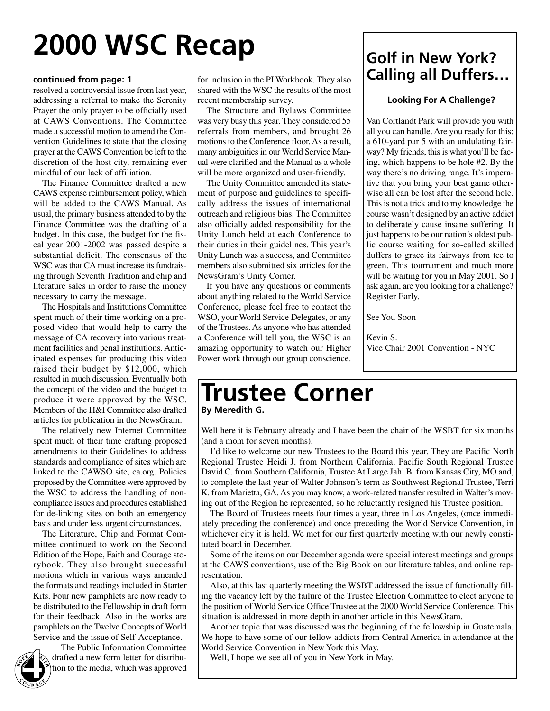## **2000 WSC Recap**

### **continued from page: 1**

resolved a controversial issue from last year, addressing a referral to make the Serenity Prayer the only prayer to be officially used at CAWS Conventions. The Committee made a successful motion to amend the Convention Guidelines to state that the closing prayer at the CAWS Convention be left to the discretion of the host city, remaining ever mindful of our lack of affiliation.

The Finance Committee drafted a new CAWS expense reimbursement policy, which will be added to the CAWS Manual. As usual, the primary business attended to by the Finance Committee was the drafting of a budget. In this case, the budget for the fiscal year 2001-2002 was passed despite a substantial deficit. The consensus of the WSC was that CA must increase its fundraising through Seventh Tradition and chip and literature sales in order to raise the money necessary to carry the message.

The Hospitals and Institutions Committee spent much of their time working on a proposed video that would help to carry the message of CA recovery into various treatment facilities and penal institutions. Anticipated expenses for producing this video raised their budget by \$12,000, which resulted in much discussion. Eventually both the concept of the video and the budget to produce it were approved by the WSC. Members of the H&I Committee also drafted articles for publication in the NewsGram.

The relatively new Internet Committee spent much of their time crafting proposed amendments to their Guidelines to address standards and compliance of sites which are linked to the CAWSO site, ca.org. Policies proposed by the Committee were approved by the WSC to address the handling of noncompliance issues and procedures established for de-linking sites on both an emergency basis and under less urgent circumstances.

The Literature, Chip and Format Committee continued to work on the Second Edition of the Hope, Faith and Courage storybook. They also brought successful motions which in various ways amended the formats and readings included in Starter Kits. Four new pamphlets are now ready to be distributed to the Fellowship in draft form for their feedback. Also in the works are pamphlets on the Twelve Concepts of World Service and the issue of Self-Acceptance.



The Public Information Committee drafted a new form letter for distribution to the media, which was approved

for inclusion in the PI Workbook. They also shared with the WSC the results of the most recent membership survey.

The Structure and Bylaws Committee was very busy this year. They considered 55 referrals from members, and brought 26 motions to the Conference floor. As a result, many ambiguities in our World Service Manual were clarified and the Manual as a whole will be more organized and user-friendly.

The Unity Committee amended its statement of purpose and guidelines to specifically address the issues of international outreach and religious bias. The Committee also officially added responsibility for the Unity Lunch held at each Conference to their duties in their guidelines. This year's Unity Lunch was a success, and Committee members also submitted six articles for the NewsGram's Unity Corner.

If you have any questions or comments about anything related to the World Service Conference, please feel free to contact the WSO, your World Service Delegates, or any of the Trustees. As anyone who has attended a Conference will tell you, the WSC is an amazing opportunity to watch our Higher Power work through our group conscience.

### **Golf in New York? Calling all Duffers…**

### **Looking For A Challenge?**

Van Cortlandt Park will provide you with all you can handle. Are you ready for this: a 610-yard par 5 with an undulating fairway? My friends, this is what you'll be facing, which happens to be hole #2. By the way there's no driving range. It's imperative that you bring your best game otherwise all can be lost after the second hole. This is not a trick and to my knowledge the course wasn't designed by an active addict to deliberately cause insane suffering. It just happens to be our nation's oldest public course waiting for so-called skilled duffers to grace its fairways from tee to green. This tournament and much more will be waiting for you in May 2001. So I ask again, are you looking for a challenge? Register Early.

See You Soon

Kevin S. Vice Chair 2001 Convention - NYC

### **Trustee Corner By Meredith G.**

Well here it is February already and I have been the chair of the WSBT for six months (and a mom for seven months).

I'd like to welcome our new Trustees to the Board this year. They are Pacific North Regional Trustee Heidi J. from Northern California, Pacific South Regional Trustee David C. from Southern California, Trustee At Large Jahi B. from Kansas City, MO and, to complete the last year of Walter Johnson's term as Southwest Regional Trustee, Terri K. from Marietta, GA. As you may know, a work-related transfer resulted in Walter's moving out of the Region he represented, so he reluctantly resigned his Trustee position.

The Board of Trustees meets four times a year, three in Los Angeles, (once immediately preceding the conference) and once preceding the World Service Convention, in whichever city it is held. We met for our first quarterly meeting with our newly constituted board in December.

Some of the items on our December agenda were special interest meetings and groups at the CAWS conventions, use of the Big Book on our literature tables, and online representation.

Also, at this last quarterly meeting the WSBT addressed the issue of functionally filling the vacancy left by the failure of the Trustee Election Committee to elect anyone to the position of World Service Office Trustee at the 2000 World Service Conference. This situation is addressed in more depth in another article in this NewsGram.

Another topic that was discussed was the beginning of the fellowship in Guatemala. We hope to have some of our fellow addicts from Central America in attendance at the World Service Convention in New York this May.

Well, I hope we see all of you in New York in May.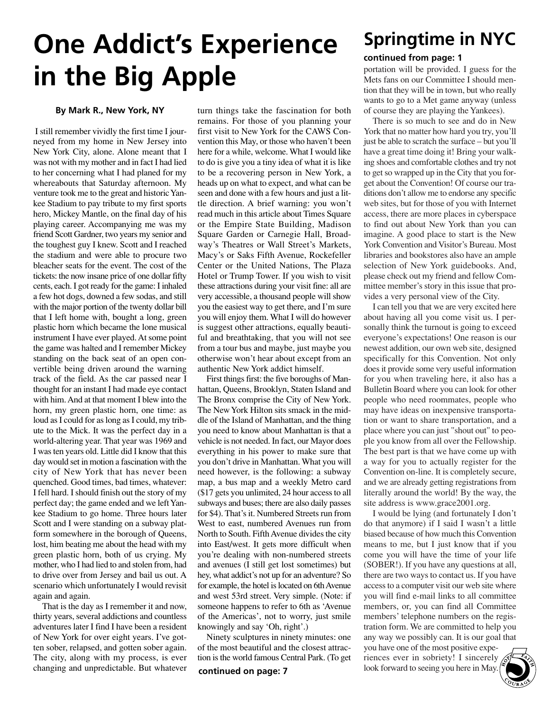## **One Addict's Experience in the Big Apple**

### **By Mark R., New York, NY**

I still remember vividly the first time I journeyed from my home in New Jersey into New York City, alone. Alone meant that I was not with my mother and in fact I had lied to her concerning what I had planed for my whereabouts that Saturday afternoon. My venture took me to the great and historic Yankee Stadium to pay tribute to my first sports hero, Mickey Mantle, on the final day of his playing career. Accompanying me was my friend Scott Gardner, two years my senior and the toughest guy I knew. Scott and I reached the stadium and were able to procure two bleacher seats for the event. The cost of the tickets: the now insane price of one dollar fifty cents, each. I got ready for the game: I inhaled a few hot dogs, downed a few sodas, and still with the major portion of the twenty dollar bill that I left home with, bought a long, green plastic horn which became the lone musical instrument I have ever played. At some point the game was halted and I remember Mickey standing on the back seat of an open convertible being driven around the warning track of the field. As the car passed near I thought for an instant I had made eye contact with him. And at that moment I blew into the horn, my green plastic horn, one time: as loud as I could for as long as I could, my tribute to the Mick. It was the perfect day in a world-altering year. That year was 1969 and I was ten years old. Little did I know that this day would set in motion a fascination with the city of New York that has never been quenched. Good times, bad times, whatever: I fell hard. I should finish out the story of my perfect day; the game ended and we left Yankee Stadium to go home. Three hours later Scott and I were standing on a subway platform somewhere in the borough of Queens, lost, him beating me about the head with my green plastic horn, both of us crying. My mother, who I had lied to and stolen from, had to drive over from Jersey and bail us out. A scenario which unfortunately I would revisit again and again.

That is the day as I remember it and now, thirty years, several addictions and countless adventures later I find I have been a resident of New York for over eight years. I've gotten sober, relapsed, and gotten sober again. The city, along with my process, is ever changing and unpredictable. But whatever

turn things take the fascination for both remains. For those of you planning your first visit to New York for the CAWS Convention this May, or those who haven't been here for a while, welcome. What I would like to do is give you a tiny idea of what it is like to be a recovering person in New York, a heads up on what to expect, and what can be seen and done with a few hours and just a little direction. A brief warning: you won't read much in this article about Times Square or the Empire State Building, Madison Square Garden or Carnegie Hall, Broadway's Theatres or Wall Street's Markets, Macy's or Saks Fifth Avenue, Rockefeller Center or the United Nations, The Plaza Hotel or Trump Tower. If you wish to visit these attractions during your visit fine: all are very accessible, a thousand people will show you the easiest way to get there, and I'm sure you will enjoy them. What I will do however is suggest other attractions, equally beautiful and breathtaking, that you will not see from a tour bus and maybe, just maybe you otherwise won't hear about except from an authentic New York addict himself.

First things first: the five boroughs of Manhattan, Queens, Brooklyn, Staten Island and The Bronx comprise the City of New York. The New York Hilton sits smack in the middle of the Island of Manhattan, and the thing you need to know about Manhattan is that a vehicle is not needed. In fact, our Mayor does everything in his power to make sure that you don't drive in Manhattan. What you will need however, is the following: a subway map, a bus map and a weekly Metro card (\$17 gets you unlimited, 24 hour access to all subways and buses; there are also daily passes for \$4). That's it. Numbered Streets run from West to east, numbered Avenues run from North to South. Fifth Avenue divides the city into East/west. It gets more difficult when you're dealing with non-numbered streets and avenues (I still get lost sometimes) but hey, what addict's not up for an adventure? So for example, the hotel is located on 6th Avenue and west 53rd street. Very simple. (Note: if someone happens to refer to 6th as 'Avenue of the Americas', not to worry, just smile knowingly and say 'Oh, right'.)

Ninety sculptures in ninety minutes: one of the most beautiful and the closest attraction is the world famous Central Park. (To get

## **Springtime in NYC**

### **continued from page: 1**

portation will be provided. I guess for the Mets fans on our Committee I should mention that they will be in town, but who really wants to go to a Met game anyway (unless of course they are playing the Yankees).

There is so much to see and do in New York that no matter how hard you try, you'll just be able to scratch the surface – but you'll have a great time doing it! Bring your walking shoes and comfortable clothes and try not to get so wrapped up in the City that you forget about the Convention! Of course our traditions don't allow me to endorse any specific web sites, but for those of you with Internet access, there are more places in cyberspace to find out about New York than you can imagine. A good place to start is the New York Convention and Visitor's Bureau. Most libraries and bookstores also have an ample selection of New York guidebooks. And, please check out my friend and fellow Committee member's story in this issue that provides a very personal view of the City.

I can tell you that we are very excited here about having all you come visit us. I personally think the turnout is going to exceed everyone's expectations! One reason is our newest addition, our own web site, designed specifically for this Convention. Not only does it provide some very useful information for you when traveling here, it also has a Bulletin Board where you can look for other people who need roommates, people who may have ideas on inexpensive transportation or want to share transportation, and a place where you can just "shout out" to people you know from all over the Fellowship. The best part is that we have come up with a way for you to actually register for the Convention on-line. It is completely secure, and we are already getting registrations from literally around the world! By the way, the site address is www.grace2001.org.

I would be lying (and fortunately I don't do that anymore) if I said I wasn't a little biased because of how much this Convention means to me, but I just know that if you come you will have the time of your life (SOBER!). If you have any questions at all, there are two ways to contact us. If you have access to a computer visit our web site where you will find e-mail links to all committee members, or, you can find all Committee members' telephone numbers on the registration form. We are committed to help you any way we possibly can. It is our goal that

you have one of the most positive experiences ever in sobriety! I sincerely look forward to seeing you here in May. **5**

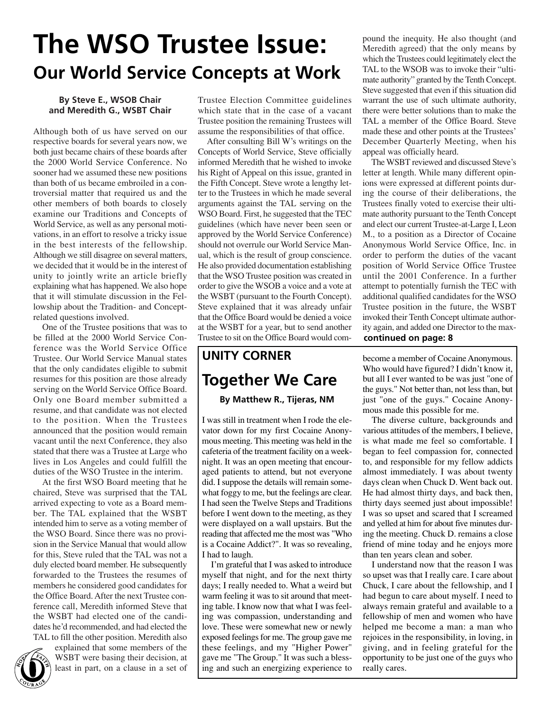## **The WSO Trustee Issue: Our World Service Concepts at Work**

### **By Steve E., WSOB Chair and Meredith G., WSBT Chair**

Although both of us have served on our respective boards for several years now, we both just became chairs of these boards after the 2000 World Service Conference. No sooner had we assumed these new positions than both of us became embroiled in a controversial matter that required us and the other members of both boards to closely examine our Traditions and Concepts of World Service, as well as any personal motivations, in an effort to resolve a tricky issue in the best interests of the fellowship. Although we still disagree on several matters, we decided that it would be in the interest of unity to jointly write an article briefly explaining what has happened. We also hope that it will stimulate discussion in the Fellowship about the Tradition- and Conceptrelated questions involved.

One of the Trustee positions that was to be filled at the 2000 World Service Conference was the World Service Office Trustee. Our World Service Manual states that the only candidates eligible to submit resumes for this position are those already serving on the World Service Office Board. Only one Board member submitted a resume, and that candidate was not elected to the position. When the Trustees announced that the position would remain vacant until the next Conference, they also stated that there was a Trustee at Large who lives in Los Angeles and could fulfill the duties of the WSO Trustee in the interim.

At the first WSO Board meeting that he chaired, Steve was surprised that the TAL arrived expecting to vote as a Board member. The TAL explained that the WSBT intended him to serve as a voting member of the WSO Board. Since there was no provision in the Service Manual that would allow for this, Steve ruled that the TAL was not a duly elected board member. He subsequently forwarded to the Trustees the resumes of members he considered good candidates for the Office Board. After the next Trustee conference call, Meredith informed Steve that the WSBT had elected one of the candidates he'd recommended, and had elected the TAL to fill the other position. Meredith also

**6** 

explained that some members of the WSBT were basing their decision, at least in part, on a clause in a set of

Trustee Election Committee guidelines which state that in the case of a vacant Trustee position the remaining Trustees will assume the responsibilities of that office.

After consulting Bill W's writings on the Concepts of World Service, Steve officially informed Meredith that he wished to invoke his Right of Appeal on this issue, granted in the Fifth Concept. Steve wrote a lengthy letter to the Trustees in which he made several arguments against the TAL serving on the WSO Board. First, he suggested that the TEC guidelines (which have never been seen or approved by the World Service Conference) should not overrule our World Service Manual, which is the result of group conscience. He also provided documentation establishing that the WSO Trustee position was created in order to give the WSOB a voice and a vote at the WSBT (pursuant to the Fourth Concept). Steve explained that it was already unfair that the Office Board would be denied a voice at the WSBT for a year, but to send another Trustee to sit on the Office Board would com-

## **UNITY CORNER Together We Care**

### **By Matthew R., Tijeras, NM**

I was still in treatment when I rode the elevator down for my first Cocaine Anonymous meeting. This meeting was held in the cafeteria of the treatment facility on a weeknight. It was an open meeting that encouraged patients to attend, but not everyone did. I suppose the details will remain somewhat foggy to me, but the feelings are clear. I had seen the Twelve Steps and Traditions before I went down to the meeting, as they were displayed on a wall upstairs. But the reading that affected me the most was "Who is a Cocaine Addict?". It was so revealing, I had to laugh.

I'm grateful that I was asked to introduce myself that night, and for the next thirty days; I really needed to. What a weird but warm feeling it was to sit around that meeting table. I know now that what I was feeling was compassion, understanding and love. These were somewhat new or newly exposed feelings for me. The group gave me these feelings, and my "Higher Power" gave me "The Group." It was such a blessing and such an energizing experience to

pound the inequity. He also thought (and Meredith agreed) that the only means by which the Trustees could legitimately elect the TAL to the WSOB was to invoke their "ultimate authority" granted by the Tenth Concept. Steve suggested that even if this situation did warrant the use of such ultimate authority, there were better solutions than to make the TAL a member of the Office Board. Steve made these and other points at the Trustees' December Quarterly Meeting, when his appeal was officially heard.

The WSBT reviewed and discussed Steve's letter at length. While many different opinions were expressed at different points during the course of their deliberations, the Trustees finally voted to exercise their ultimate authority pursuant to the Tenth Concept and elect our current Trustee-at-Large I, Leon M., to a position as a Director of Cocaine Anonymous World Service Office, Inc. in order to perform the duties of the vacant position of World Service Office Trustee until the 2001 Conference. In a further attempt to potentially furnish the TEC with additional qualified candidates for the WSO Trustee position in the future, the WSBT invoked their Tenth Concept ultimate authority again, and added one Director to the max**continued on page: 8**

become a member of Cocaine Anonymous. Who would have figured? I didn't know it, but all I ever wanted to be was just "one of the guys." Not better than, not less than, but just "one of the guys." Cocaine Anonymous made this possible for me.

The diverse culture, backgrounds and various attitudes of the members, I believe, is what made me feel so comfortable. I began to feel compassion for, connected to, and responsible for my fellow addicts almost immediately. I was about twenty days clean when Chuck D. Went back out. He had almost thirty days, and back then, thirty days seemed just about impossible! I was so upset and scared that I screamed and yelled at him for about five minutes during the meeting. Chuck D. remains a close friend of mine today and he enjoys more than ten years clean and sober.

I understand now that the reason I was so upset was that I really care. I care about Chuck, I care about the fellowship, and I had begun to care about myself. I need to always remain grateful and available to a fellowship of men and women who have helped me become a man: a man who rejoices in the responsibility, in loving, in giving, and in feeling grateful for the opportunity to be just one of the guys who really cares.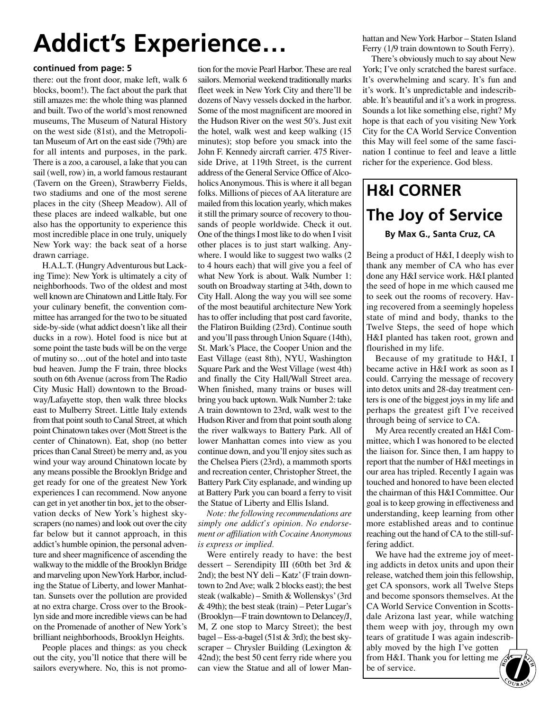## **Addict's Experience…**

### **continued from page: 5**

there: out the front door, make left, walk 6 blocks, boom!). The fact about the park that still amazes me: the whole thing was planned and built. Two of the world's most renowned museums, The Museum of Natural History on the west side (81st), and the Metropolitan Museum of Art on the east side (79th) are for all intents and purposes, in the park. There is a zoo, a carousel, a lake that you can sail (well, row) in, a world famous restaurant (Tavern on the Green), Strawberry Fields, two stadiums and one of the most serene places in the city (Sheep Meadow). All of these places are indeed walkable, but one also has the opportunity to experience this most incredible place in one truly, uniquely New York way: the back seat of a horse drawn carriage.

H.A.L.T. (Hungry Adventurous but Lacking Time): New York is ultimately a city of neighborhoods. Two of the oldest and most well known are Chinatown and Little Italy. For your culinary benefit, the convention committee has arranged for the two to be situated side-by-side (what addict doesn't like all their ducks in a row). Hotel food is nice but at some point the taste buds will be on the verge of mutiny so…out of the hotel and into taste bud heaven. Jump the F train, three blocks south on 6th Avenue (across from The Radio City Music Hall) downtown to the Broadway/Lafayette stop, then walk three blocks east to Mulberry Street. Little Italy extends from that point south to Canal Street, at which point Chinatown takes over (Mott Street is the center of Chinatown). Eat, shop (no better prices than Canal Street) be merry and, as you wind your way around Chinatown locate by any means possible the Brooklyn Bridge and get ready for one of the greatest New York experiences I can recommend. Now anyone can get in yet another tin box, jet to the observation decks of New York's highest skyscrapers (no names) and look out over the city far below but it cannot approach, in this addict's humble opinion, the personal adventure and sheer magnificence of ascending the walkway to the middle of the Brooklyn Bridge and marveling upon NewYork Harbor, including the Statue of Liberty, and lower Manhattan. Sunsets over the pollution are provided at no extra charge. Cross over to the Brooklyn side and more incredible views can be had on the Promenade of another of New York's brilliant neighborhoods, Brooklyn Heights.

People places and things: as you check out the city, you'll notice that there will be sailors everywhere. No, this is not promo-

tion for the movie Pearl Harbor. These are real sailors. Memorial weekend traditionally marks fleet week in New York City and there'll be dozens of Navy vessels docked in the harbor. Some of the most magnificent are moored in the Hudson River on the west 50's. Just exit the hotel, walk west and keep walking (15 minutes); stop before you smack into the John F. Kennedy aircraft carrier. 475 Riverside Drive, at 119th Street, is the current address of the General Service Office of Alcoholics Anonymous. This is where it all began folks. Millions of pieces of AA literature are mailed from this location yearly, which makes it still the primary source of recovery to thousands of people worldwide. Check it out. One of the things I most like to do when I visit other places is to just start walking. Anywhere. I would like to suggest two walks  $(2)$ to 4 hours each) that will give you a feel of what New York is about. Walk Number 1: south on Broadway starting at 34th, down to City Hall. Along the way you will see some of the most beautiful architecture New York has to offer including that post card favorite, the Flatiron Building (23rd). Continue south and you'll pass through Union Square (14th), St. Mark's Place, the Cooper Union and the East Village (east 8th), NYU, Washington Square Park and the West Village (west 4th) and finally the City Hall/Wall Street area. When finished, many trains or buses will bring you back uptown. Walk Number 2: take A train downtown to 23rd, walk west to the Hudson River and from that point south along the river walkways to Battery Park. All of lower Manhattan comes into view as you continue down, and you'll enjoy sites such as the Chelsea Piers (23rd), a mammoth sports and recreation center, Christopher Street, the Battery Park City esplanade, and winding up at Battery Park you can board a ferry to visit the Statue of Liberty and Ellis Island.

*Note: the following recommendations are simply one addict's opinion. No endorsement or affiliation with Cocaine Anonymous is express or implied.*

Were entirely ready to have: the best dessert – Serendipity III (60th bet 3rd & 2nd); the best NY deli – Katz'(F train downtown to 2nd Ave; walk 2 blocks east); the best steak (walkable) – Smith & Wollenskys'(3rd  $& 49$ th); the best steak (train) – Peter Lugar's (Brooklyn—F train downtown to Delancey/J, M, Z one stop to Marcy Street); the best bagel – Ess-a-bagel (51st & 3rd); the best skyscraper – Chrysler Building (Lexington & 42nd); the best 50 cent ferry ride where you can view the Statue and all of lower Manhattan and New York Harbor – Staten Island Ferry (1/9 train downtown to South Ferry).

There's obviously much to say about New York; I've only scratched the barest surface. It's overwhelming and scary. It's fun and it's work. It's unpredictable and indescribable. It's beautiful and it's a work in progress. Sounds a lot like something else, right? My hope is that each of you visiting New York City for the CA World Service Convention this May will feel some of the same fascination I continue to feel and leave a little richer for the experience. God bless.

### **H&I CORNER The Joy of Service By Max G., Santa Cruz, CA**

Being a product of H&I, I deeply wish to thank any member of CA who has ever done any H&I service work. H&I planted the seed of hope in me which caused me to seek out the rooms of recovery. Having recovered from a seemingly hopeless state of mind and body, thanks to the Twelve Steps, the seed of hope which H&I planted has taken root, grown and flourished in my life.

Because of my gratitude to H&I, I became active in H&I work as soon as I could. Carrying the message of recovery into detox units and 28-day treatment centers is one of the biggest joys in my life and perhaps the greatest gift I've received through being of service to CA.

My Area recently created an H&I Committee, which I was honored to be elected the liaison for. Since then, I am happy to report that the number of H&I meetings in our area has tripled. Recently I again was touched and honored to have been elected the chairman of this H&I Committee. Our goal is to keep growing in effectiveness and understanding, keep learning from other more established areas and to continue reaching out the hand of CA to the still-suffering addict.

We have had the extreme joy of meeting addicts in detox units and upon their release, watched them join this fellowship, get CA sponsors, work all Twelve Steps and become sponsors themselves. At the CA World Service Convention in Scottsdale Arizona last year, while watching them weep with joy, through my own tears of gratitude I was again indescribably moved by the high I've gotten from H&I. Thank you for letting me ably moved by the high I've gotten<br>from H&I. Thank you for letting me<br>be of service.